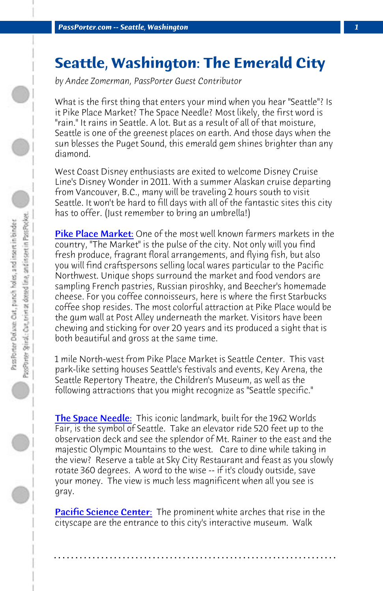*PassPorter.com -- Seattle, Washington 1*

## **[Seattle, Wa](http://www.pikeplacemarket.org)shington: The Emerald City**

*by Andee Zomerman, PassPorter Guest Contributor*

What is the first thing that enters your mind when you hear "Seattle"? Is it Pike Place Market? The Space Needle? Most likely, the first word is "rain." It rains in Seattle. A lot. But as a result of all of that moisture, Seattle is one of the greenest places on earth. And those days when the sun blesses the Puget Sound, this emerald gem shines brighter than any diamond.

West Coast Disney enthusiasts are exited to welcome Disney Cruise Line's Disney Wonder in 2011. With a summer Alaskan cruise departing from Vancouver, B.C., many will be traveling 2 hours south to visit Seattle. It won't be hard to fill days with all of the fantastic sites this city has to offer. (Just remember to bring an umbrella!)

Pike Place Market: One of the most well known farmers markets in the [country, "The Marke](http://www.spaceneedle.com)t" is the pulse of the city. Not only will you find fresh produce, fragrant floral arrangements, and flying fish, but also you will find craftspersons selling local wares particular to the Pacific Northwest. Unique shops surround the market and food vendors are sampling French pastries, Russian piroshky, and Beecher's homemade cheese. For you coffee connoisseurs, here is where the first Starbucks coffee shop resides. The most colorful attraction at Pike Place would be the gum wall at Post Alley underneath the market. Visitors have been chewing and sticking for over 20 years and its produced a sight that is [both beautiful and gross a](http://www.pacsci.org)t the same time.

1 mile North-west from Pike Place Market is Seattle Center. This vast park-like setting houses Seattle's festivals and events, Key Arena, the Seattle Repertory Theatre, the Children's Museum, as well as the following attractions that you might recognize as "Seattle specific."

The Space Needle: This iconic landmark, built for the 1962 Worlds Fair, is the symbol of Seattle. Take an elevator ride 520 feet up to the observation deck and see the splendor of Mt. Rainer to the east and the majestic Olympic Mountains to the west. Care to dine while taking in the view? Reserve a table at Sky City Restaurant and feast as you slowly rotate 360 degrees. A word to the wise -- if it's cloudy outside, save your money. The view is much less magnificent when all you see is gray.

Pacific Science Center: The prominent white arches that rise in the cityscape are the entrance to this city's interactive museum. Walk

**. . . . . . . . . . . . . . . . . . . . . . . . . . . . . . . . . . . . . . . . . . . . . . . . . . . . . . . . . . . . . . . . . .**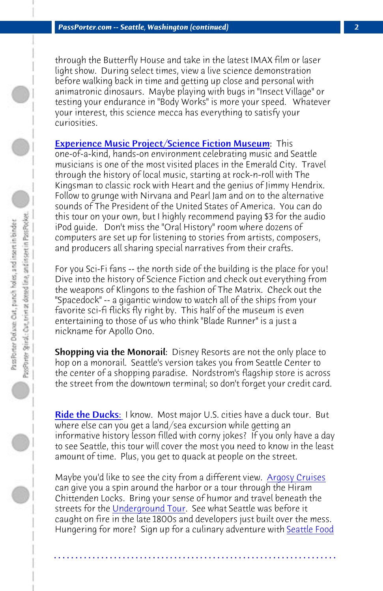*PassPorter.com -- Seattle, Washington (continued) 2*

through the Butterfly House and take in the latest IMAX film or laser light show. During select times, view a live science demonstration before walking back in time and getting up close and personal with animatronic dinosaurs. Maybe playing with bugs in "Insect Village" or testing your endurance in "Body Works" is more your speed. Whatever your interest, this science mecca has everything to satisfy your curiosities.

**Experience Music Project/Science Fiction Museum: This** one-of-a-kind, hands-on environment celebrating music and Seattle musicians is one of the most visited places in the Emerald City. Travel through the history of local music, starting at rock-n-roll with The Kingsman to classic rock with Heart and the genius of Jimmy Hendrix. Follow to grunge with Nirvana and Pearl Jam and on to the alternative sounds of The President of the United States of America. You can do this tour on your own, but I highly recommend paying \$3 for the audio iPod guide. Don't miss the "Oral History" room where dozens of [computers are set](http://www.ridetheducksofseattle.com) up for listening to stories from artists, composers, and producers all sharing special narratives from their crafts.

For you Sci-Fi fans -- the north side of the building is the place for you! Dive into the history of Science Fiction and check out everything from the weapons of Klingons to the fashion of The Matrix. Check out the "Spacedock" -- a gigantic window to watch all of the sh[ips from your](http://www.argosycrusies.com) favorite sci-fi flicks fly right by. This half of the museum is even entertaining to those of us who think "Blade Runner" is a just a nickname for [Apollo Ono.](http://www.undergroundtour.com) 

Shopping via the Monorail: Disney Resorts are not the on[ly place to](http://www.seattlefoodtours.com) hop on a monorail. Seattle's version takes you from Seattle Center to the center of a shopping paradise. Nordstrom's flagship store is across the street from the downtown terminal; so don't forget your credit card.

Ride the Ducks: I know. Most major U.S. cities have a duck tour. But where else can you get a land/sea excursion while getting an informative history lesson filled with corny jokes? If you only have a day to see Seattle, this tour will cover the most you need to know in the least amount of time. Plus, you get to quack at people on the street.

Maybe you'd like to see the city from a different view. Argosy Cruises can give you a spin around the harbor or a tour through the Hiram Chittenden Locks. Bring your sense of humor and travel beneath the streets for the Underground Tour. See what Seattle was before it caught on fire in the late 1800s and developers just built over the mess. Hungering for more? Sign up for a culinary adventure with Seattle Food

**. . . . . . . . . . . . . . . . . . . . . . . . . . . . . . . . . . . . . . . . . . . . . . . . . . . . . . . . . . . . . . . . . .**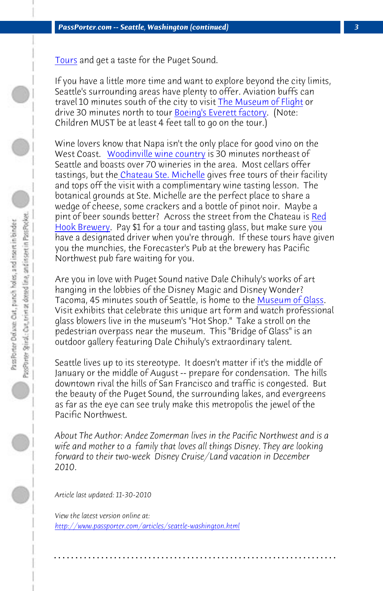[Tours and get](http://www.redhook.com) a taste for the Puget Sound.

If you have a little more time and want to explore beyond the city limits, Seattle's surrounding areas have plenty to offer. Aviation buffs can travel 10 minutes south of the city to visit The Museum of Flight or drive 30 minutes north to tour Boeing's Everett factory. (Note: Children MUST be at least 4 feet tall to go on the to[ur.\)](http://www.museumofglass.org) 

Wine lovers know that Napa isn't the only place for good vino on the West Coast. Woodinville wine country is 30 minutes northeast of Seattle and boasts over 70 wineries in the area. Most cellars offer tastings, but the Chateau Ste. Michelle gives free tours of their facility and tops off the visit with a complimentary wine tasting lesson. The botanical grounds at Ste. Michelle are the perfect place to share a wedge of cheese, some crackers and a bottle of pinot noir. Maybe a pint of beer sounds better? Across the street from the Chateau is Red Hook Brewery. Pay \$1 for a tour and tasting glass, but make sure you have a designated driver when you're through. If these tours have given you the munchies, the Forecaster's Pub at the brewery has Pacific Northwest pub fare waiting for you.

Are you in love with Puget Sound native Dale Chihuly's works of art hanging in the lobbies of the Disney Magic and Disney Wonder? Tacoma, 45 minutes south of Seattle, is home to the Museum of Glass. Visit exhibits that celebrate this unique art form and watch professional glass blowers live in the museum's "Hot Shop." Take a stroll on the pedestrian overpass near the museum. This "Bridge of Glass" is an outdoor gallery featuring Dale Chihuly's extraordinary talent.

Seattle lives up to its stereotype. It doesn't matter if it's the middle of January or the middle of August -- prepare for condensation. The hills downtown rival the hills of San Francisco and traffic is congested. But the beauty of the Puget Sound, the surrounding lakes, and evergreens as far as the eye can see truly make this metropolis the jewel of the Pacific Northwest.

*About The Author: Andee Zomerman lives in the Pacific Northwest and is a wife and mother to a family that loves all things Disney. They are looking forward to their two-week Disney Cruise/Land vacation in December 2010.*

**. . . . . . . . . . . . . . . . . . . . . . . . . . . . . . . . . . . . . . . . . . . . . . . . . . . . . . . . . . . . . . . . . .**

*Article last updated: 11-30-2010*

*View the latest version online at: http://www.passporter.com/articles/seattle-washington.html*